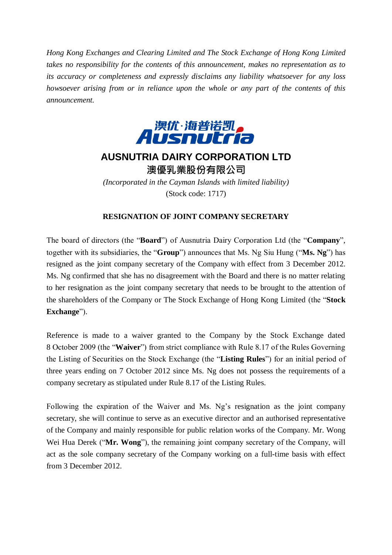*Hong Kong Exchanges and Clearing Limited and The Stock Exchange of Hong Kong Limited takes no responsibility for the contents of this announcement, makes no representation as to its accuracy or completeness and expressly disclaims any liability whatsoever for any loss howsoever arising from or in reliance upon the whole or any part of the contents of this announcement.*



## **AUSNUTRIA DAIRY CORPORATION LTD** 澳優乳業股份有限公司

*(Incorporated in the Cayman Islands with limited liability)* (Stock code: 1717)

## **RESIGNATION OF JOINT COMPANY SECRETARY**

The board of directors (the "**Board**") of Ausnutria Dairy Corporation Ltd (the "**Company**", together with its subsidiaries, the "**Group**") announces that Ms. Ng Siu Hung ("**Ms. Ng**") has resigned as the joint company secretary of the Company with effect from 3 December 2012. Ms. Ng confirmed that she has no disagreement with the Board and there is no matter relating to her resignation as the joint company secretary that needs to be brought to the attention of the shareholders of the Company or The Stock Exchange of Hong Kong Limited (the "**Stock Exchange**").

Reference is made to a waiver granted to the Company by the Stock Exchange dated 8 October 2009 (the "**Waiver**") from strict compliance with Rule 8.17 of the Rules Governing the Listing of Securities on the Stock Exchange (the "**Listing Rules**") for an initial period of three years ending on 7 October 2012 since Ms. Ng does not possess the requirements of a company secretary as stipulated under Rule 8.17 of the Listing Rules.

Following the expiration of the Waiver and Ms. Ng's resignation as the joint company secretary, she will continue to serve as an executive director and an authorised representative of the Company and mainly responsible for public relation works of the Company. Mr. Wong Wei Hua Derek ("**Mr. Wong**"), the remaining joint company secretary of the Company, will act as the sole company secretary of the Company working on a full-time basis with effect from 3 December 2012.